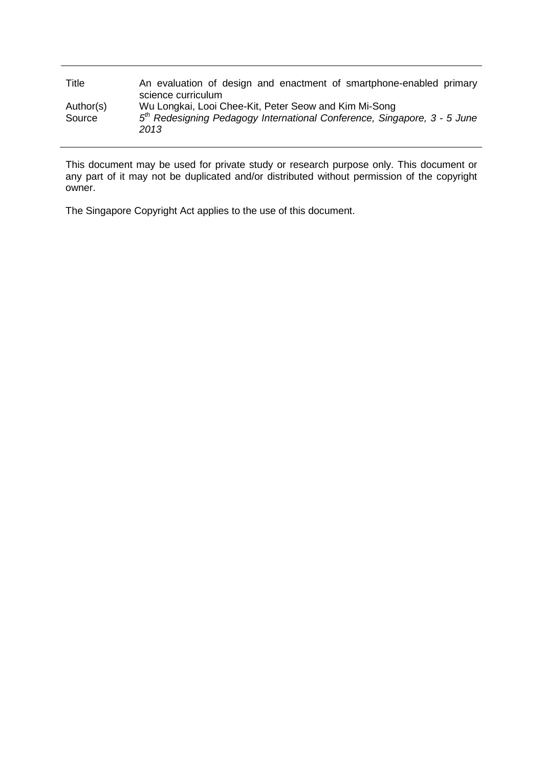| Title     | An evaluation of design and enactment of smartphone-enabled primary                          |
|-----------|----------------------------------------------------------------------------------------------|
|           | science curriculum                                                                           |
| Author(s) | Wu Longkai, Looi Chee-Kit, Peter Seow and Kim Mi-Song                                        |
| Source    | 5 <sup>th</sup> Redesigning Pedagogy International Conference, Singapore, 3 - 5 June<br>2013 |

This document may be used for private study or research purpose only. This document or any part of it may not be duplicated and/or distributed without permission of the copyright owner.

The Singapore Copyright Act applies to the use of this document.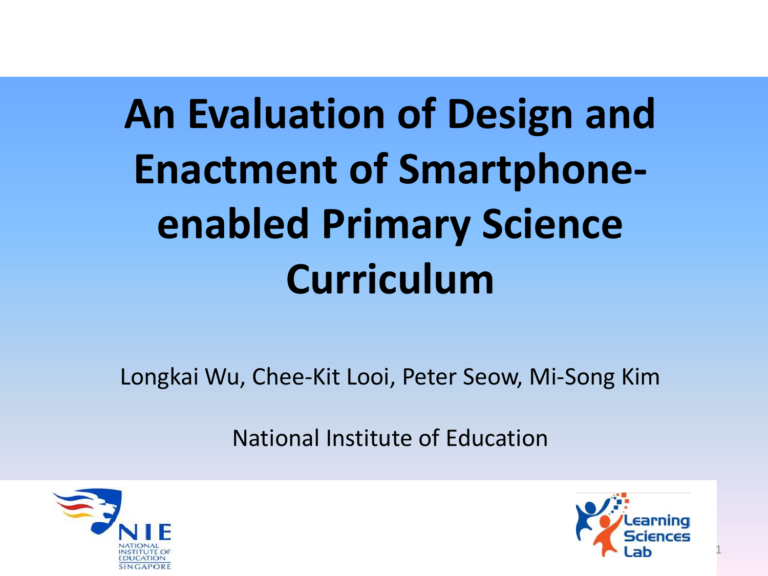# **An Evaluation of Design and Enactment of Smartphoneenabled Primary Science Curriculum**

Longkai Wu, Chee-Kit Looi, Peter Seow, Mi-Song Kim

National Institute of Education





1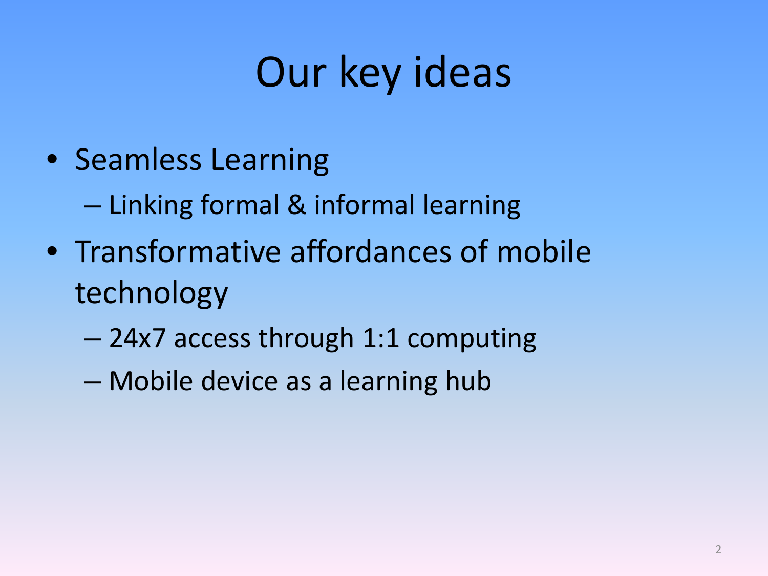## Our key ideas

• Seamless Learning

– Linking formal & informal learning

- Transformative affordances of mobile technology
	- 24x7 access through 1:1 computing
	- Mobile device as a learning hub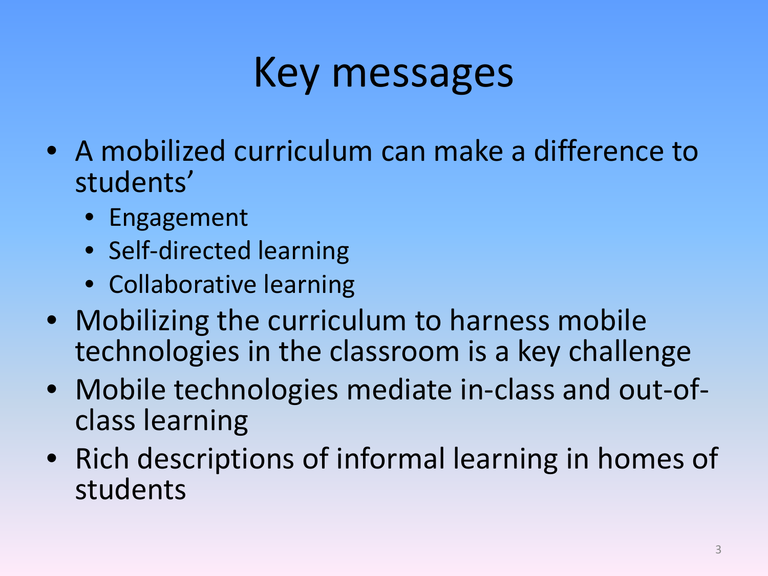### Key messages

- A mobilized curriculum can make a difference to students'
	- Engagement
	- Self-directed learning
	- Collaborative learning
- Mobilizing the curriculum to harness mobile technologies in the classroom is a key challenge
- Mobile technologies mediate in-class and out-of- class learning
- Rich descriptions of informal learning in homes of students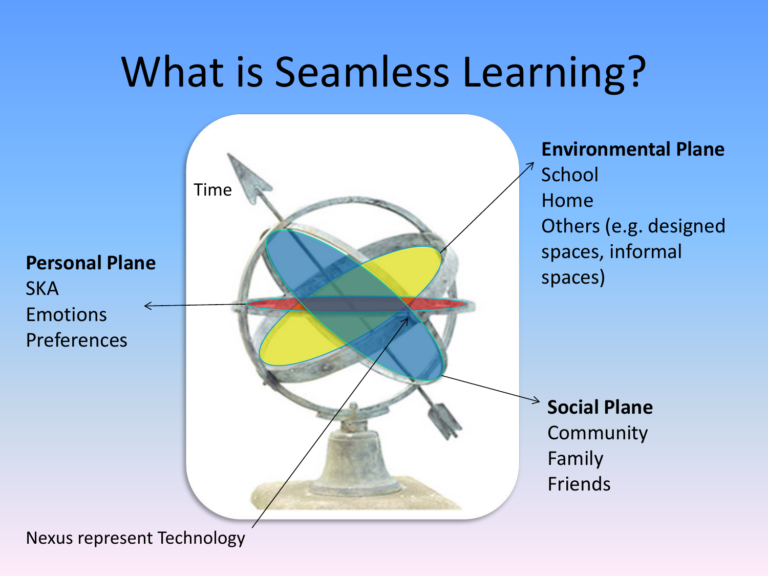#### What is Seamless Learning?



Nexus represent Technology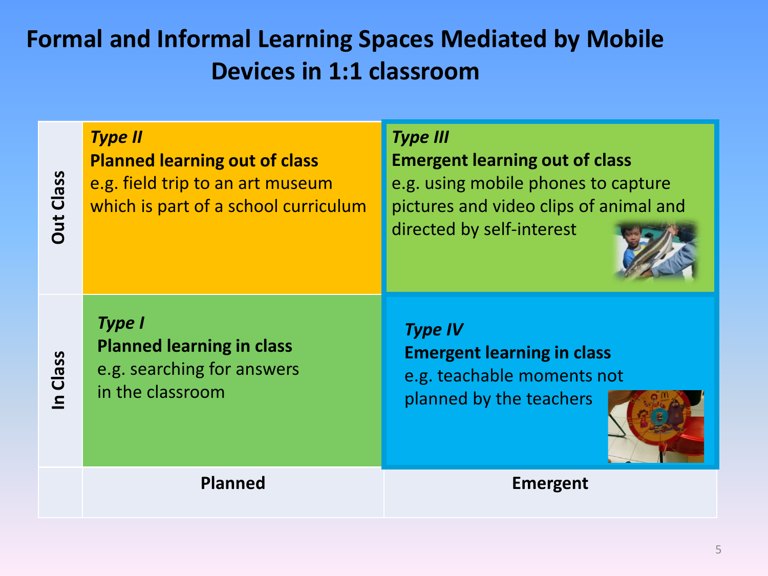#### **Formal and Informal Learning Spaces Mediated by Mobile Devices in 1:1 classroom**

*Type II* **Planned learning out of class** e.g. field trip to an art museum which is part of a school curriculum *Type III* **Emergent learning out of class** e.g. using mobile phones to capture pictures and video clips of animal and directed by self-interest

**In Class**

**Out Class**

**Out Class** 

*Type I* **Planned learning in class** e.g. searching for answers in the classroom

*Type IV* **Emergent learning in class** e.g. teachable moments not planned by the teachers



**Planned Emergent**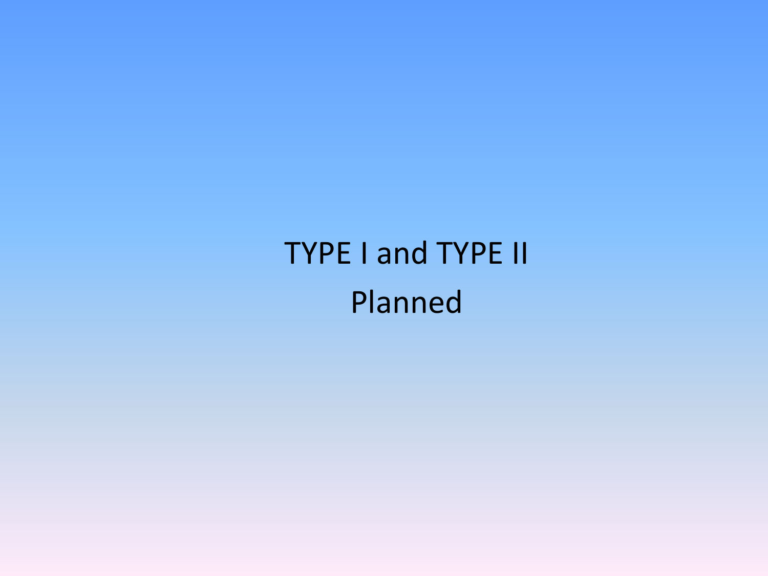#### TYPE I and TYPE II Planned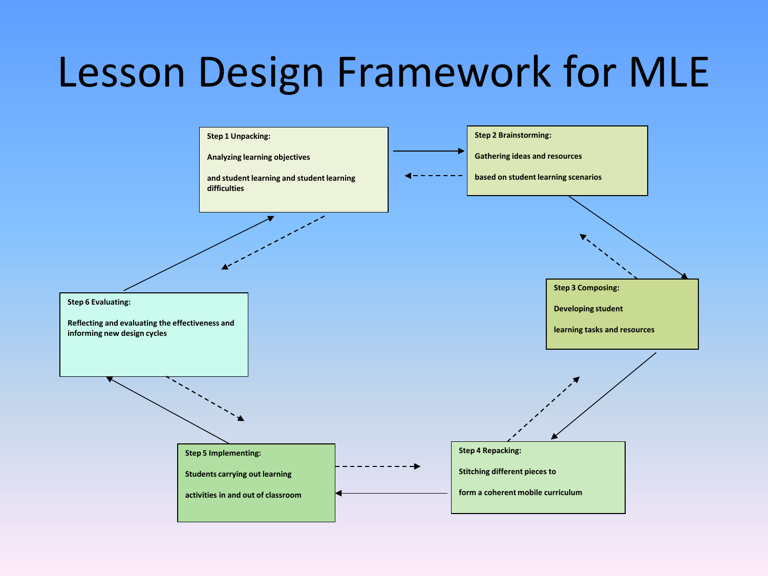### Lesson Design Framework for MLE

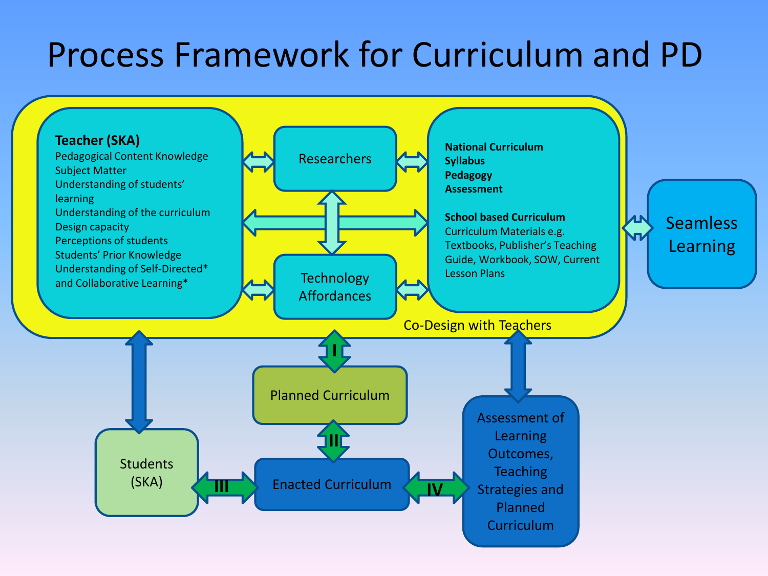#### Process Framework for Curriculum and PD

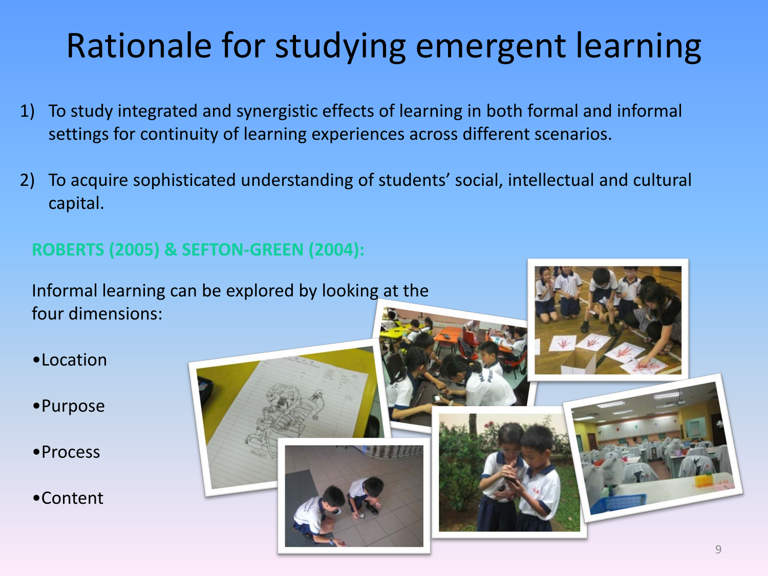#### Rationale for studying emergent learning

- 1) To study integrated and synergistic effects of learning in both formal and informal settings for continuity of learning experiences across different scenarios.
- 2) To acquire sophisticated understanding of students' social, intellectual and cultural capital.

#### **ROBERTS (2005) & SEFTON-GREEN (2004):**

Informal learning can be explored by looking at the four dimensions:

- •Location
- •Purpose
- •Process
- •Content

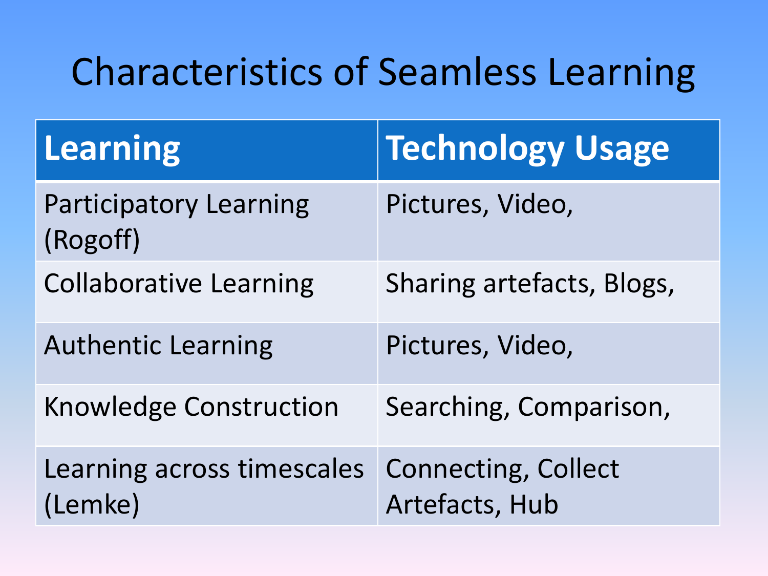#### Characteristics of Seamless Learning

| <b>Learning</b>                           | <b>Technology Usage</b>                      |
|-------------------------------------------|----------------------------------------------|
| <b>Participatory Learning</b><br>(Rogoff) | Pictures, Video,                             |
| <b>Collaborative Learning</b>             | Sharing artefacts, Blogs,                    |
| <b>Authentic Learning</b>                 | Pictures, Video,                             |
| <b>Knowledge Construction</b>             | Searching, Comparison,                       |
| Learning across timescales<br>(Lemke)     | <b>Connecting, Collect</b><br>Artefacts, Hub |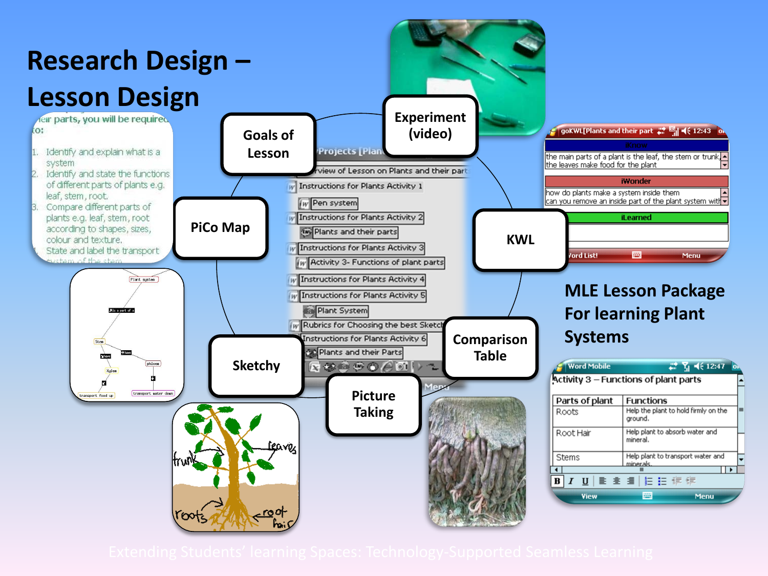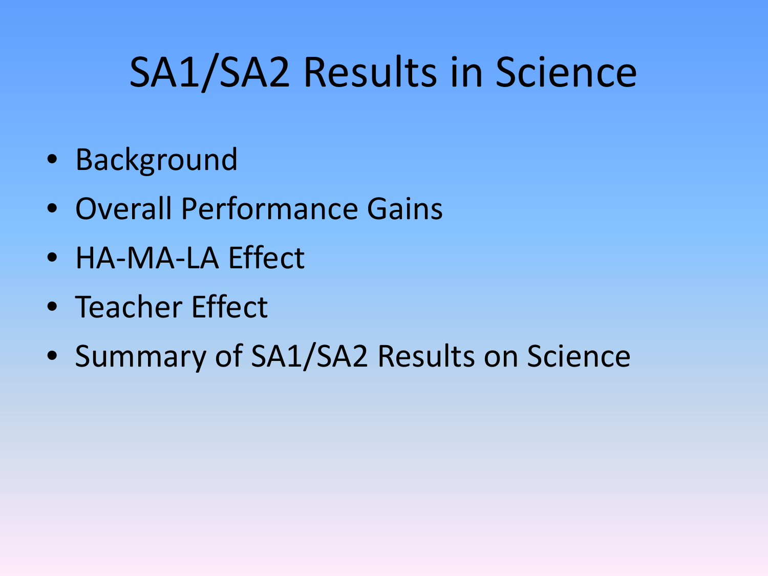## SA1/SA2 Results in Science

- Background
- Overall Performance Gains
- HA-MA-LA Effect
- Teacher Effect
- Summary of SA1/SA2 Results on Science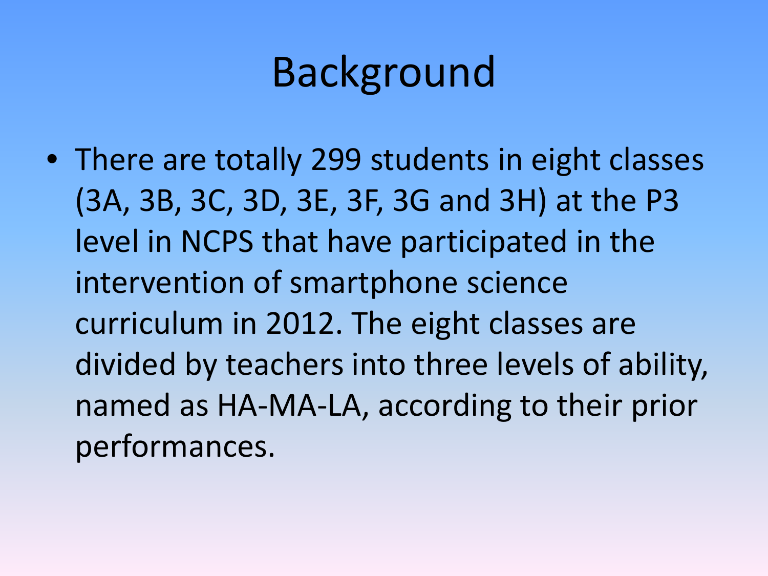### Background

• There are totally 299 students in eight classes (3A, 3B, 3C, 3D, 3E, 3F, 3G and 3H) at the P3 level in NCPS that have participated in the intervention of smartphone science curriculum in 2012. The eight classes are divided by teachers into three levels of ability, named as HA-MA-LA, according to their prior performances.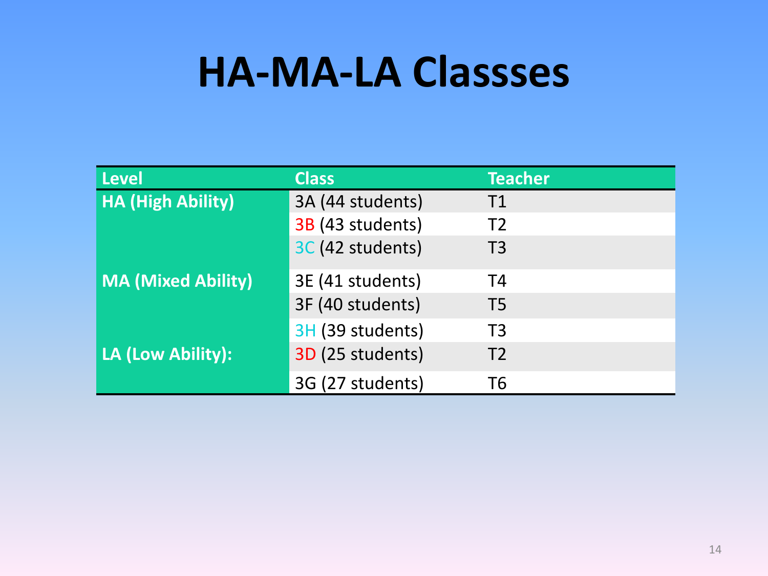#### **HA-MA-LA Classses**

| <b>Level</b>              | <b>Class</b>     | <b>Teacher</b> |
|---------------------------|------------------|----------------|
| <b>HA (High Ability)</b>  | 3A (44 students) | T1             |
|                           | 3B (43 students) | T <sub>2</sub> |
|                           | 3C (42 students) | T <sub>3</sub> |
| <b>MA (Mixed Ability)</b> | 3E (41 students) | T <sub>4</sub> |
|                           | 3F (40 students) | T <sub>5</sub> |
|                           | 3H (39 students) | T <sub>3</sub> |
| LA (Low Ability):         | 3D (25 students) | T <sub>2</sub> |
|                           | 3G (27 students) | T6             |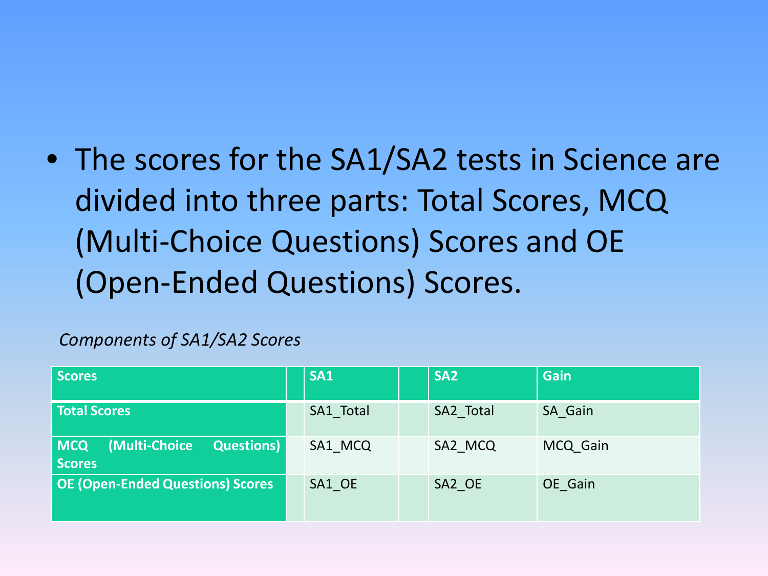• The scores for the SA1/SA2 tests in Science are divided into three parts: Total Scores, MCQ (Multi-Choice Questions) Scores and OE (Open-Ended Questions) Scores.

#### *Components of SA1/SA2 Scores*

| <b>Scores</b>                                                      | SA1       | SA <sub>2</sub> | <b>Gain</b> |
|--------------------------------------------------------------------|-----------|-----------------|-------------|
| <b>Total Scores</b>                                                | SA1 Total | SA2_Total       | SA Gain     |
| (Multi-Choice<br><b>MCQ</b><br><b>Questions</b> )<br><b>Scores</b> | SA1 MCQ   | SA2 MCQ         | MCQ Gain    |
| <b>OE (Open-Ended Questions) Scores</b>                            | SA1 OE    | SA2 OE          | OE Gain     |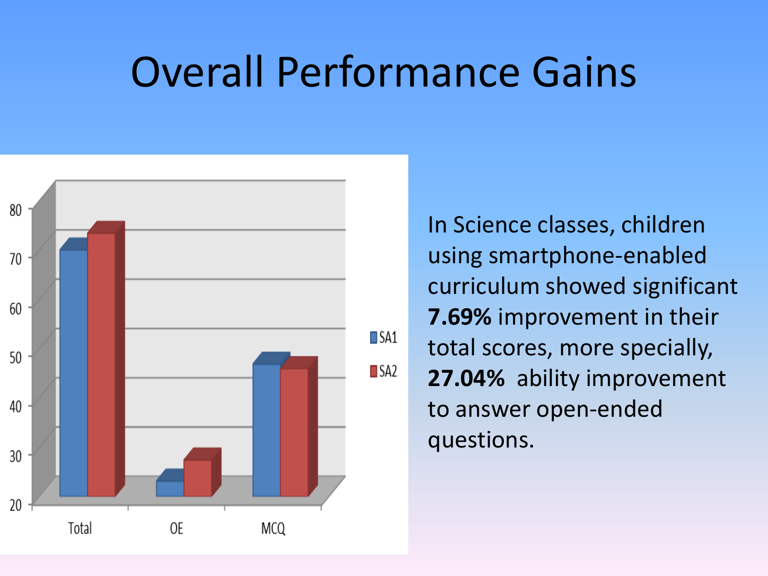#### Overall Performance Gains



In Science classes, children using smartphone-enabled curriculum showed significant **7.69%** improvement in their total scores, more specially, **27.04%** ability improvement to answer open-ended questions.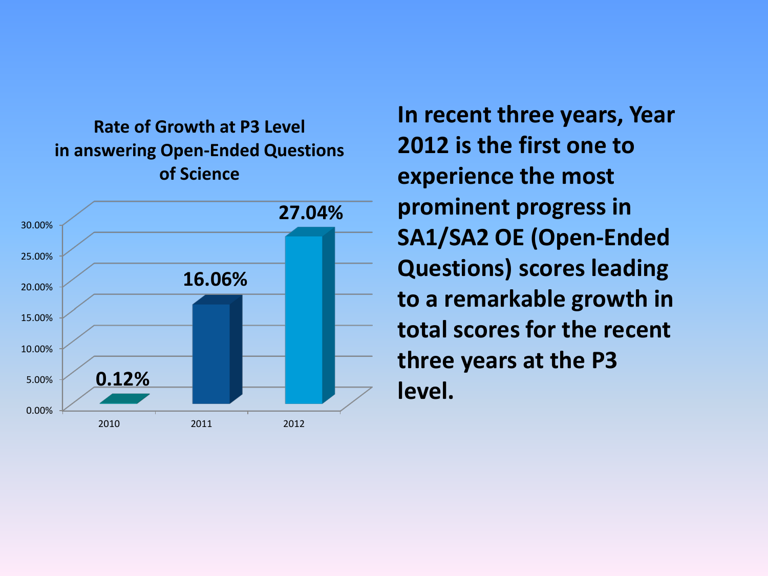**Rate of Growth at P3 Level in answering Open-Ended Questions of Science**



**In recent three years, Year 2012 is the first one to experience the most prominent progress in SA1/SA2 OE (Open-Ended Questions) scores leading to a remarkable growth in total scores for the recent three years at the P3 level.**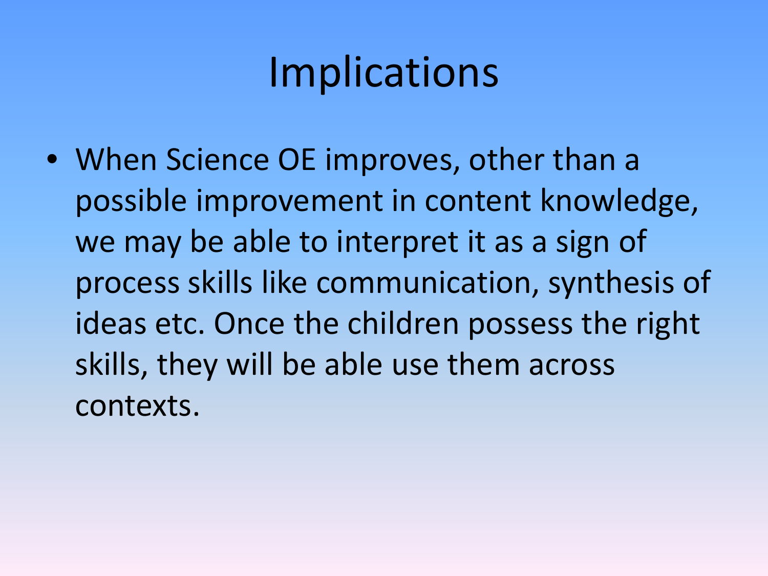### Implications

• When Science OE improves, other than a possible improvement in content knowledge, we may be able to interpret it as a sign of process skills like communication, synthesis of ideas etc. Once the children possess the right skills, they will be able use them across contexts.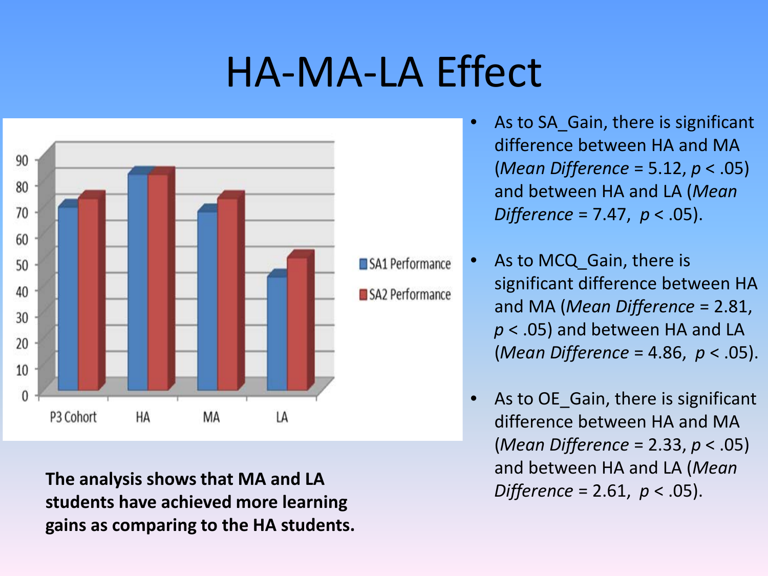#### HA-MA-LA Effect



**The analysis shows that MA and LA students have achieved more learning gains as comparing to the HA students.** 

- As to SA Gain, there is significant difference between HA and MA (*Mean Difference* = 5.12, *p* < .05) and between HA and LA (*Mean Difference* = 7.47, *p* < .05).
- As to MCQ Gain, there is significant difference between HA and MA (*Mean Difference* = 2.81, *p* < .05) and between HA and LA (*Mean Difference* = 4.86, *p* < .05).
	- As to OE Gain, there is significant difference between HA and MA (*Mean Difference* = 2.33, *p* < .05) and between HA and LA (*Mean Difference* = 2.61, *p* < .05).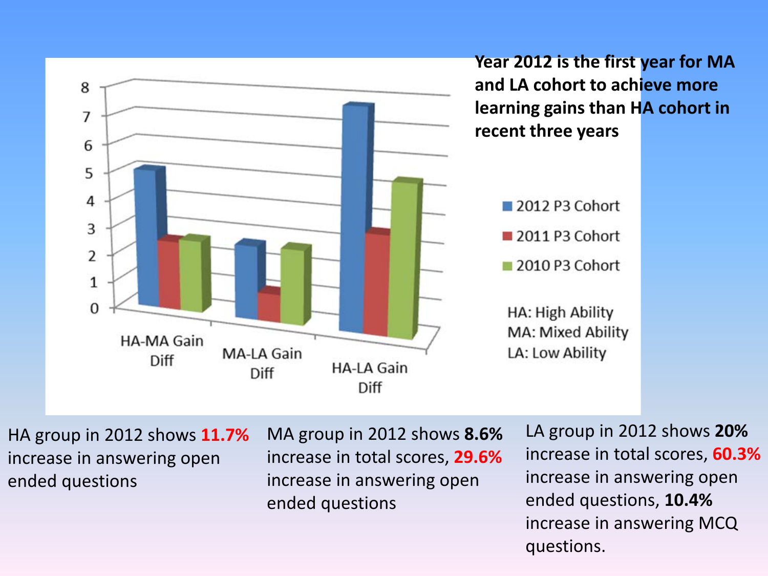

increase in answering MCQ

questions.

ended questions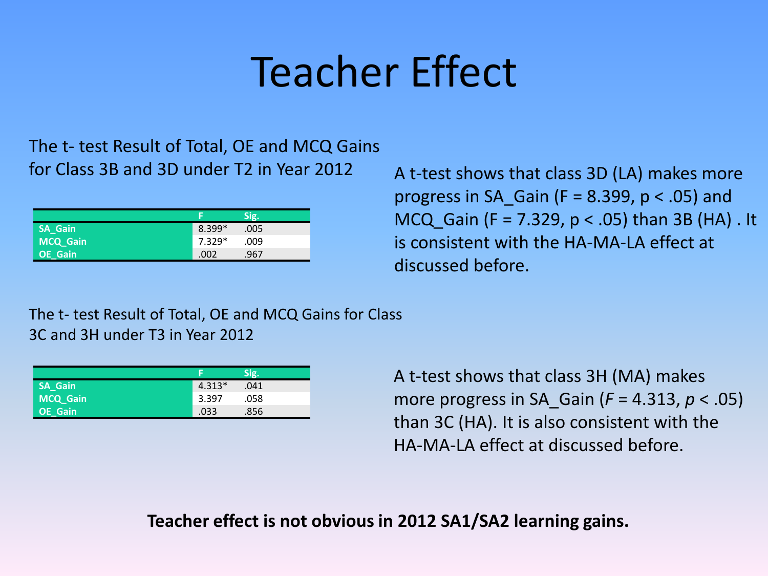### Teacher Effect

The t- test Result of Total, OE and MCQ Gains for Class 3B and 3D under T2 in Year 2012

|                |          | Sig. |
|----------------|----------|------|
| <b>SA Gain</b> | $8.399*$ | .005 |
| MCQ_Gain       | $7.329*$ | .009 |
| OE_Gain        | .002     | .967 |

A t-test shows that class 3D (LA) makes more progress in SA Gain ( $F = 8.399$ ,  $p < .05$ ) and MCQ Gain (F = 7.329,  $p < .05$ ) than 3B (HA) . It is consistent with the HA-MA-LA effect at discussed before.

The t- test Result of Total, OE and MCQ Gains for Class 3C and 3H under T3 in Year 2012

| <b>SA_Gain</b> | $4.313*$ | .041 |
|----------------|----------|------|
| MCQ_Gain       | 3.397    | .058 |
| OE_Gain        | .033     | .856 |

A t-test shows that class 3H (MA) makes more progress in SA\_Gain (*F* = 4.313, *p* < .05) than 3C (HA). It is also consistent with the HA-MA-LA effect at discussed before.

**Teacher effect is not obvious in 2012 SA1/SA2 learning gains.**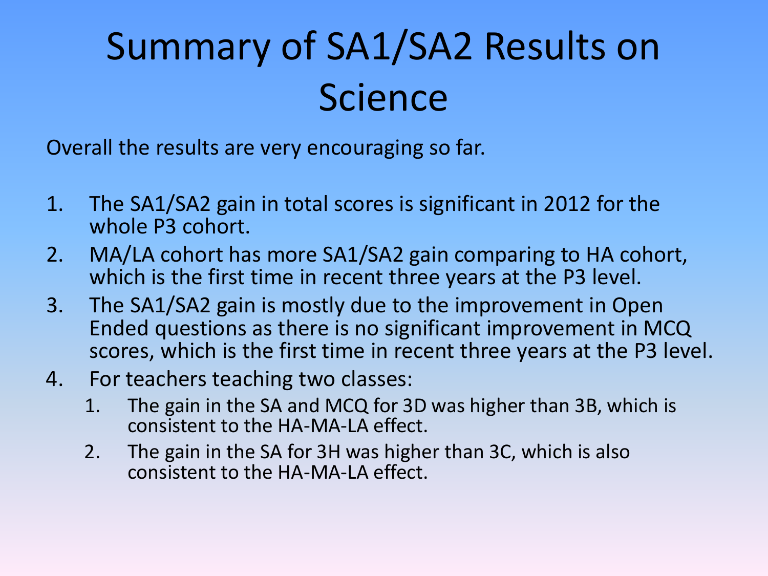## Summary of SA1/SA2 Results on Science

Overall the results are very encouraging so far.

- 1. The SA1/SA2 gain in total scores is significant in 2012 for the whole P3 cohort.
- 2. MA/LA cohort has more SA1/SA2 gain comparing to HA cohort, which is the first time in recent three years at the P3 level.
- 3. The SA1/SA2 gain is mostly due to the improvement in Open Ended questions as there is no significant improvement in MCQ scores, which is the first time in recent three years at the P3 level.
- 4. For teachers teaching two classes:
	- 1. The gain in the SA and MCQ for 3D was higher than 3B, which is consistent to the HA-MA-LA effect.
	- 2. The gain in the SA for 3H was higher than 3C, which is also consistent to the HA-MA-LA effect.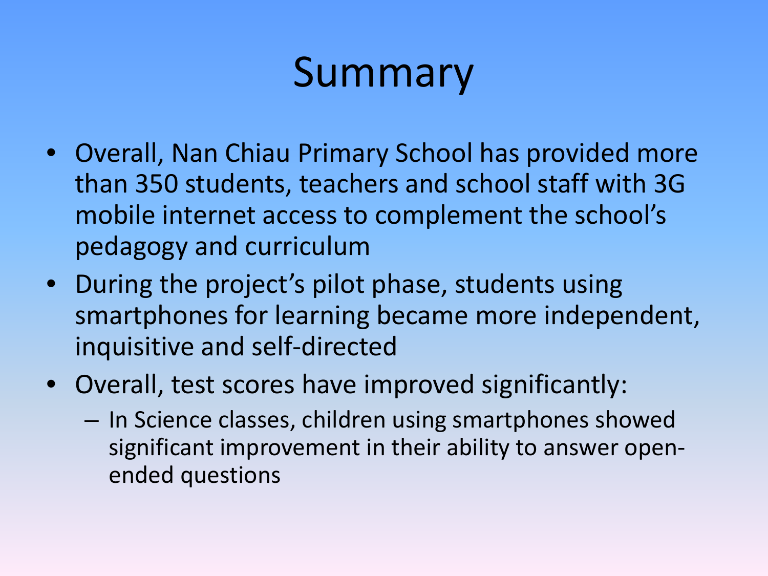## Summary

- Overall, Nan Chiau Primary School has provided more than 350 students, teachers and school staff with 3G mobile internet access to complement the school's pedagogy and curriculum
- During the project's pilot phase, students using smartphones for learning became more independent, inquisitive and self-directed
- Overall, test scores have improved significantly:
	- In Science classes, children using smartphones showed significant improvement in their ability to answer openended questions